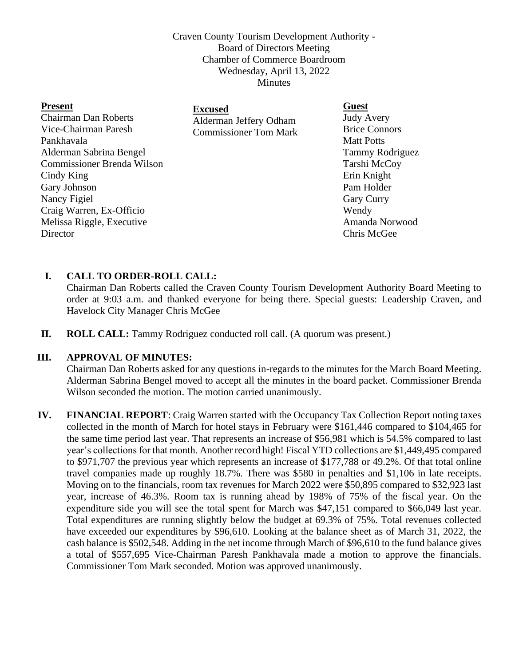Craven County Tourism Development Authority - Board of Directors Meeting Chamber of Commerce Boardroom Wednesday, April 13, 2022 Minutes

| <b>Guest</b>                                                             |
|--------------------------------------------------------------------------|
| <b>Judy Avery</b>                                                        |
| <b>Brice Connors</b>                                                     |
| <b>Matt Potts</b>                                                        |
| <b>Tammy Rodriguez</b>                                                   |
| Tarshi McCoy                                                             |
| Erin Knight                                                              |
| Pam Holder                                                               |
| <b>Gary Curry</b>                                                        |
| Wendy                                                                    |
| Amanda Norwood                                                           |
| Chris McGee                                                              |
| <b>Excused</b><br>Alderman Jeffery Odham<br><b>Commissioner Tom Mark</b> |

## **I. CALL TO ORDER-ROLL CALL:**

Chairman Dan Roberts called the Craven County Tourism Development Authority Board Meeting to order at 9:03 a.m. and thanked everyone for being there. Special guests: Leadership Craven, and Havelock City Manager Chris McGee

**II. ROLL CALL:** Tammy Rodriguez conducted roll call. (A quorum was present.)

## **III. APPROVAL OF MINUTES:**

Chairman Dan Roberts asked for any questions in-regards to the minutes for the March Board Meeting. Alderman Sabrina Bengel moved to accept all the minutes in the board packet. Commissioner Brenda Wilson seconded the motion. The motion carried unanimously.

**IV. FINANCIAL REPORT**: Craig Warren started with the Occupancy Tax Collection Report noting taxes collected in the month of March for hotel stays in February were \$161,446 compared to \$104,465 for the same time period last year. That represents an increase of \$56,981 which is 54.5% compared to last year's collections for that month. Another record high! Fiscal YTD collections are \$1,449,495 compared to \$971,707 the previous year which represents an increase of \$177,788 or 49.2%. Of that total online travel companies made up roughly 18.7%. There was \$580 in penalties and \$1,106 in late receipts. Moving on to the financials, room tax revenues for March 2022 were \$50,895 compared to \$32,923 last year, increase of 46.3%. Room tax is running ahead by 198% of 75% of the fiscal year. On the expenditure side you will see the total spent for March was \$47,151 compared to \$66,049 last year. Total expenditures are running slightly below the budget at 69.3% of 75%. Total revenues collected have exceeded our expenditures by \$96,610. Looking at the balance sheet as of March 31, 2022, the cash balance is \$502,548. Adding in the net income through March of \$96,610 to the fund balance gives a total of \$557,695 Vice-Chairman Paresh Pankhavala made a motion to approve the financials. Commissioner Tom Mark seconded. Motion was approved unanimously.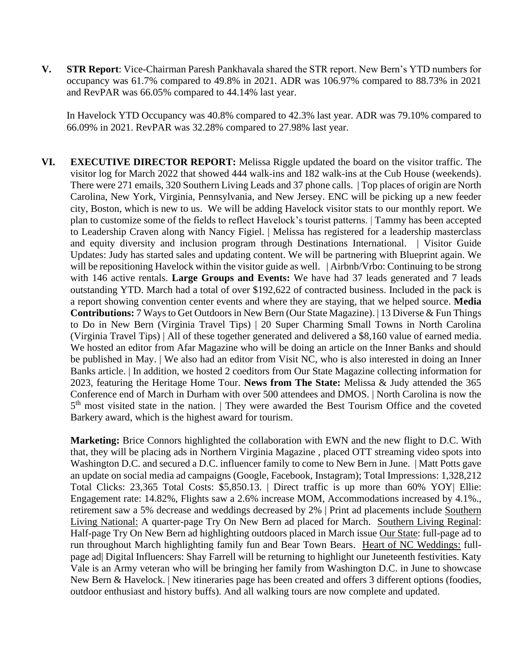**V. STR Report**: Vice-Chairman Paresh Pankhavala shared the STR report. New Bern's YTD numbers for occupancy was 61.7% compared to 49.8% in 2021. ADR was 106.97% compared to 88.73% in 2021 and RevPAR was 66.05% compared to 44.14% last year.

In Havelock YTD Occupancy was 40.8% compared to 42.3% last year. ADR was 79.10% compared to 66.09% in 2021. RevPAR was 32.28% compared to 27.98% last year.

**VI. EXECUTIVE DIRECTOR REPORT:** Melissa Riggle updated the board on the visitor traffic. The visitor log for March 2022 that showed 444 walk-ins and 182 walk-ins at the Cub House (weekends). There were 271 emails, 320 Southern Living Leads and 37 phone calls. | Top places of origin are North Carolina, New York, Virginia, Pennsylvania, and New Jersey. ENC will be picking up a new feeder city, Boston, which is new to us. We will be adding Havelock visitor stats to our monthly report. We plan to customize some of the fields to reflect Havelock's tourist patterns. | Tammy has been accepted to Leadership Craven along with Nancy Figiel. | Melissa has registered for a leadership masterclass and equity diversity and inclusion program through Destinations International. | Visitor Guide Updates: Judy has started sales and updating content. We will be partnering with Blueprint again. We will be repositioning Havelock within the visitor guide as well. | Airbnb/Vrbo: Continuing to be strong with 146 active rentals. **Large Groups and Events:** We have had 37 leads generated and 7 leads outstanding YTD. March had a total of over \$192,622 of contracted business. Included in the pack is a report showing convention center events and where they are staying, that we helped source. **Media Contributions:** 7 Ways to Get Outdoors in New Bern (Our State Magazine). | 13 Diverse & Fun Things to Do in New Bern (Virginia Travel Tips) | 20 Super Charming Small Towns in North Carolina (Virginia Travel Tips) | All of these together generated and delivered a \$8,160 value of earned media. We hosted an editor from Afar Magazine who will be doing an article on the Inner Banks and should be published in May. | We also had an editor from Visit NC, who is also interested in doing an Inner Banks article. | In addition, we hosted 2 coeditors from Our State Magazine collecting information for 2023, featuring the Heritage Home Tour. **News from The State:** Melissa & Judy attended the 365 Conference end of March in Durham with over 500 attendees and DMOS. | North Carolina is now the 5<sup>th</sup> most visited state in the nation. | They were awarded the Best Tourism Office and the coveted Barkery award, which is the highest award for tourism.

**Marketing:** Brice Connors highlighted the collaboration with EWN and the new flight to D.C. With that, they will be placing ads in Northern Virginia Magazine , placed OTT streaming video spots into Washington D.C. and secured a D.C. influencer family to come to New Bern in June. | Matt Potts gave an update on social media ad campaigns (Google, Facebook, Instagram); Total Impressions: 1,328,212 Total Clicks: 23,365 Total Costs: \$5,850.13. | Direct traffic is up more than 60% YOY| Ellie: Engagement rate: 14.82%, Flights saw a 2.6% increase MOM, Accommodations increased by 4.1%., retirement saw a 5% decrease and weddings decreased by 2% | Print ad placements include Southern Living National: A quarter-page Try On New Bern ad placed for March. Southern Living Reginal: Half-page Try On New Bern ad highlighting outdoors placed in March issue Our State: full-page ad to run throughout March highlighting family fun and Bear Town Bears. Heart of NC Weddings: fullpage ad| Digital Influencers: Shay Farrell will be returning to highlight our Juneteenth festivities. Katy Vale is an Army veteran who will be bringing her family from Washington D.C. in June to showcase New Bern & Havelock. | New itineraries page has been created and offers 3 different options (foodies, outdoor enthusiast and history buffs). And all walking tours are now complete and updated.